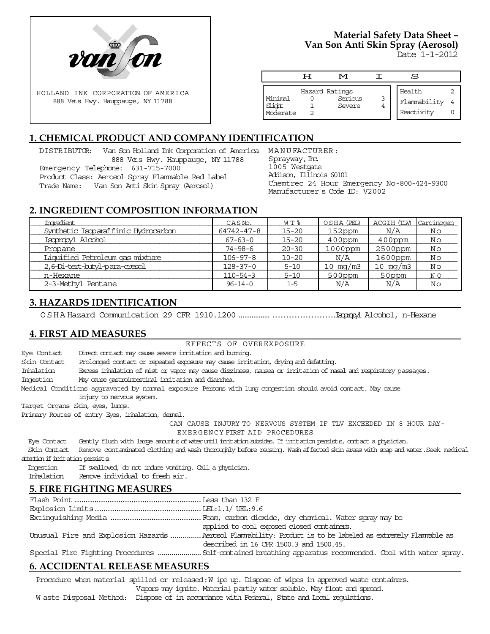

HOLLAND INK CORPORATION OF AMERICA 888 Vets Hwy. Hauppauge, NY 11788

# **Material Safety Data Sheet – Van Son Anti Skin Spray (Aerosol)**

Date 1-1-2012

|                               | ᇅ | M                                   |   | S                                    |                |
|-------------------------------|---|-------------------------------------|---|--------------------------------------|----------------|
| Minimal<br>Slight<br>Moderate | っ | Hazard Ratings<br>Serious<br>Severe | 3 | Health<br>Flammability<br>Reactivity | $\overline{4}$ |

## **1. CHEMICAL PRODUCT AND COMPANY IDENTIFICATION**

DISTRIBUTOR: Van Son Holland Ink Corporation of America MANUFACTURER: 888 Vets Hwy. Hauppauge, NY 11788 Emergency Telephone: 631-715-7000 Product Class: Aerosol Spray Flammable Red Label Trade Name: Van Son Anti Skin Spray (Aerosol)

Sprayway, Inc. 1005 Westgate Addison, Illinois 60101 Chemtrec 24 Hour Emergency No-800-424-9300 Manufacturer s Code ID: V2002

## **2. INGREDIENT COMPOSITION INFORMATION**

| Ingredient                           | CASN <sub>O</sub> . | WT %      | OSHA (PEL) | ACGIH (TLV) | Carcinogen |
|--------------------------------------|---------------------|-----------|------------|-------------|------------|
| Synthetic Isoparaf finic Hydrocarbon | 64742-47-8          | $15 - 20$ | 152ppm     | N/A         | Νo         |
| Isopropyl Alcohol                    | $67 - 63 - 0$       | $15 - 20$ | $400$ ppm  | $400$ ppm   | Νo         |
| Propane                              | $74 - 98 - 6$       | $20 - 30$ | $1000$ ppm | $2500$ ppm  | No         |
| Liquified Petroleum gas mixture      | $106 - 97 - 8$      | $10 - 20$ | N/A        | $1600$ ppm  | No         |
| 2,6-Di-tert-butyl-para-cresol        | $128 - 37 - 0$      | $5 - 10$  | 10 $mq/m3$ | mq/m3<br>10 | Νo         |
| n-Hexane                             | $110 - 54 - 3$      | $5 - 10$  | $500$ ppm  | 50ppm       | N O        |
| 2-3-Methyl Pentane                   | $96 - 14 - 0$       | $1 - 5$   | N/A        | N/A         | No         |

## **3. HAZARDS IDENTIFICATION**

OSHA Hazard Communication 29 CFR 1910.1200.....................................Isopropyl Alcohol, n-Hexane

## **4. FIRST AID MEASURES**

EFFECTS OF OVEREXPOSURE

Eye Contact Direct contact may cause severe irritation and burning.

Skin Contact Prolonged contact or repeated exposure may cause irritation, drying and defatting.

Inhalation Excess inhalation of mist or vapor may cause dizziness, nausea or irritation of nasal and respiratory passages.

Ingestion May cause gastrointestinal irritation and diarrhea.

Medical Conditions aggravated by normal exposure Persons with lung congestion should avoid contact. May cause injury to nervous system.

Target Organs Skin, eyes, lungs.

Primary Routes of entry Eyes, inhalation, dermal.

CAN CAUSE INJURY TO NERVOUS SYSTEM IF TLV EXCEEDED IN 8 HOUR DAY-EMERGENCY FIRST AID PROCEDURES

Eye Contact Gently flush with large amounts of water until irritation subsides. If irritation persists, contact a physician.

 Skin Contact Remove contaminated clothing and wash thoroughly before reusing. Wash affected skin areas with soap and water. Seek medical attention if imit ation persists.

 Ingestion If swallowed, do not induce vomiting. Call a physician. Inhalation Remove individual to fresh air.

## **5. FIRE FIGHTING MEASURES**

| applied to cool exposed closed containers.                                                                   |
|--------------------------------------------------------------------------------------------------------------|
| Unusual Fire and Explosion Hazards  Aerosol Flammability: Product is to be labeled as extremely Flammable as |
| described in 16 CFR 1500.3 and 1500.45.                                                                      |
|                                                                                                              |

## **6. ACCIDENTAL RELEASE MEASURES**

Procedure when material spilled or released: W ipe up. Dispose of wipes in approved waste containers.

Vapors may ignite. Material partly water soluble. May float and spread.

W aste Disposal Method: Dispose of in accordance with Federal, State and Local regulations.